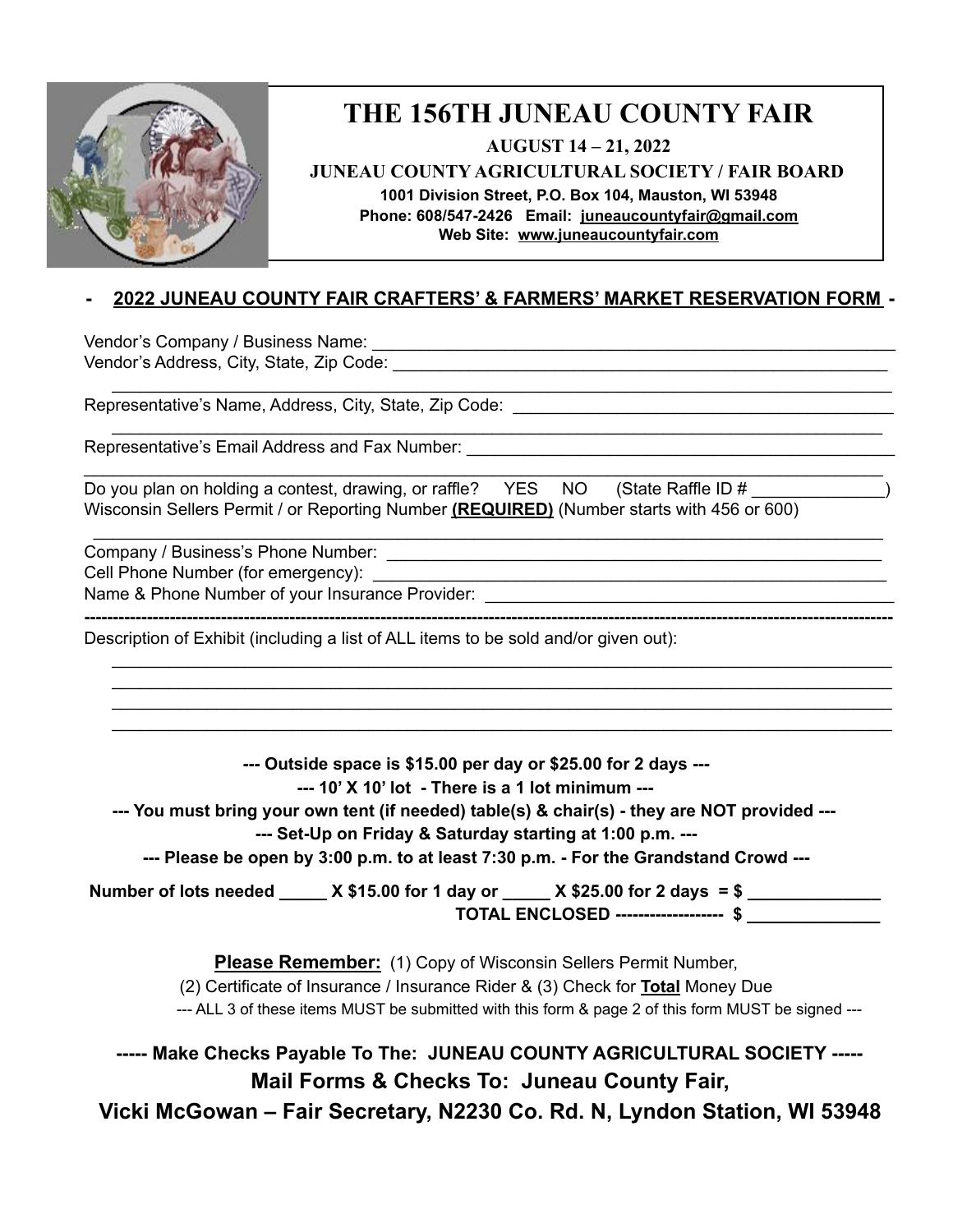

## **THE 156TH JUNEAU COUNTY FAIR**

**AUGUST 14 – 21, 2022**

**JUNEAU COUNTY AGRICULTURAL SOCIETY / FAIR BOARD**

**1001 Division Street, P.O. Box 104, Mauston, WI 53948 Phone: 608/547-2426 Email: [juneaucountyfair@gmail.com](mailto:juneaucountyfair@gmail.com) Web Site: [www.juneaucountyf](http://www.juneaucounty/)air.com**

**- 2022 JUNEAU COUNTY FAIR CRAFTERS' & FARMERS' MARKET RESERVATION FORM -**

\_\_\_\_\_\_\_\_\_\_\_\_\_\_\_\_\_\_\_\_\_\_\_\_\_\_\_\_\_\_\_\_\_\_\_\_\_\_\_\_\_\_\_\_\_\_\_\_\_\_\_\_\_\_\_\_\_\_\_\_\_\_\_\_\_\_\_\_\_\_\_\_\_\_\_\_\_\_\_\_\_\_

\_\_\_\_\_\_\_\_\_\_\_\_\_\_\_\_\_\_\_\_\_\_\_\_\_\_\_\_\_\_\_\_\_\_\_\_\_\_\_\_\_\_\_\_\_\_\_\_\_\_\_\_\_\_\_\_\_\_\_\_\_\_\_\_\_\_\_\_\_\_\_\_\_\_\_\_\_\_\_\_\_

\_\_\_\_\_\_\_\_\_\_\_\_\_\_\_\_\_\_\_\_\_\_\_\_\_\_\_\_\_\_\_\_\_\_\_\_\_\_\_\_\_\_\_\_\_\_\_\_\_\_\_\_\_\_\_\_\_\_\_\_\_\_\_\_\_\_\_\_\_\_\_\_\_\_\_\_\_\_\_\_\_\_\_\_

\_\_\_\_\_\_\_\_\_\_\_\_\_\_\_\_\_\_\_\_\_\_\_\_\_\_\_\_\_\_\_\_\_\_\_\_\_\_\_\_\_\_\_\_\_\_\_\_\_\_\_\_\_\_\_\_\_\_\_\_\_\_\_\_\_\_\_\_\_\_\_\_\_\_\_\_\_\_\_\_\_\_\_

**----------------------------------------------------------------------------------------------------------------------------------------------**

\_\_\_\_\_\_\_\_\_\_\_\_\_\_\_\_\_\_\_\_\_\_\_\_\_\_\_\_\_\_\_\_\_\_\_\_\_\_\_\_\_\_\_\_\_\_\_\_\_\_\_\_\_\_\_\_\_\_\_\_\_\_\_\_\_\_\_\_\_\_\_\_\_\_\_\_\_\_\_\_\_\_ \_\_\_\_\_\_\_\_\_\_\_\_\_\_\_\_\_\_\_\_\_\_\_\_\_\_\_\_\_\_\_\_\_\_\_\_\_\_\_\_\_\_\_\_\_\_\_\_\_\_\_\_\_\_\_\_\_\_\_\_\_\_\_\_\_\_\_\_\_\_\_\_\_\_\_\_\_\_\_\_\_\_ \_\_\_\_\_\_\_\_\_\_\_\_\_\_\_\_\_\_\_\_\_\_\_\_\_\_\_\_\_\_\_\_\_\_\_\_\_\_\_\_\_\_\_\_\_\_\_\_\_\_\_\_\_\_\_\_\_\_\_\_\_\_\_\_\_\_\_\_\_\_\_\_\_\_\_\_\_\_\_\_\_\_ \_\_\_\_\_\_\_\_\_\_\_\_\_\_\_\_\_\_\_\_\_\_\_\_\_\_\_\_\_\_\_\_\_\_\_\_\_\_\_\_\_\_\_\_\_\_\_\_\_\_\_\_\_\_\_\_\_\_\_\_\_\_\_\_\_\_\_\_\_\_\_\_\_\_\_\_\_\_\_\_\_\_

Vendor's Company / Business Name: \_\_\_\_\_\_\_\_\_\_\_\_\_\_\_\_\_\_\_\_\_\_\_\_\_\_\_\_\_\_\_\_\_\_\_\_\_\_\_\_\_\_\_\_\_\_\_\_\_\_\_\_\_\_\_ Vendor's Address, City, State, Zip Code: \_\_\_\_\_\_\_\_\_\_\_\_\_\_\_\_\_\_\_\_\_\_\_\_\_\_\_\_\_\_\_\_\_\_\_\_\_\_\_\_\_\_\_\_\_\_\_\_\_\_\_\_

Representative's Name, Address, City, State, Zip Code:

Representative's Email Address and Fax Number:

| Do you plan on holding a contest, drawing, or raffle? YES NO (State Raffle ID #           |  |  |
|-------------------------------------------------------------------------------------------|--|--|
| Wisconsin Sellers Permit / or Reporting Number (REQUIRED) (Number starts with 456 or 600) |  |  |

Company / Business's Phone Number: \_\_\_\_\_\_\_\_\_\_\_\_\_\_\_\_\_\_\_\_\_\_\_\_\_\_\_\_\_\_\_\_\_\_\_\_\_\_\_\_\_\_\_\_\_\_\_\_\_\_\_\_

Cell Phone Number (for emergency): \_\_\_\_\_\_\_\_\_\_\_\_\_\_\_\_\_\_\_\_\_\_\_\_\_\_\_\_\_\_\_\_\_\_\_\_\_\_\_\_\_\_\_\_\_\_\_\_\_\_\_\_\_\_

Name & Phone Number of your Insurance Provider:

Description of Exhibit (including a list of ALL items to be sold and/or given out):

**--- Outside space is \$15.00 per day or \$25.00 for 2 days ---**

**--- 10' X 10' lot - There is a 1 lot minimum ---**

**--- You must bring your own tent (if needed) table(s) & chair(s) - they are NOT provided ---**

**--- Set-Up on Friday & Saturday starting at 1:00 p.m. ---**

**--- Please be open by 3:00 p.m. to at least 7:30 p.m. - For the Grandstand Crowd ---**

Number of lots needed \_\_\_\_\_ X \$15.00 for 1 day or \_\_\_\_\_ X \$25.00 for 2 days = \$ **TOTAL ENCLOSED ------------------- \$ \_\_\_\_\_\_\_\_\_\_\_\_\_\_**

**Please Remember:** (1) Copy of Wisconsin Sellers Permit Number,

(2) Certificate of Insurance / Insurance Rider & (3) Check for **Total** Money Due

--- ALL 3 of these items MUST be submitted with this form & page 2 of this form MUST be signed ---

**----- Make Checks Payable To The: JUNEAU COUNTY AGRICULTURAL SOCIETY ----- Mail Forms & Checks To: Juneau County Fair, Vicki McGowan – Fair Secretary, N2230 Co. Rd. N, Lyndon Station, WI 53948**